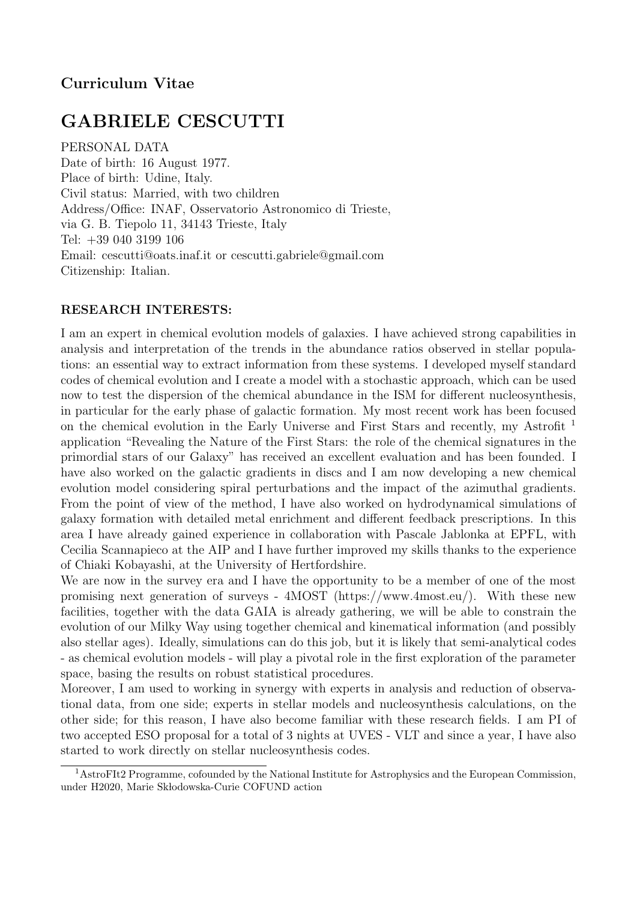# Curriculum Vitae

# GABRIELE CESCUTTI

PERSONAL DATA Date of birth: 16 August 1977. Place of birth: Udine, Italy. Civil status: Married, with two children Address/Office: INAF, Osservatorio Astronomico di Trieste, via G. B. Tiepolo 11, 34143 Trieste, Italy Tel: +39 040 3199 106 Email: cescutti@oats.inaf.it or cescutti.gabriele@gmail.com Citizenship: Italian.

#### RESEARCH INTERESTS:

I am an expert in chemical evolution models of galaxies. I have achieved strong capabilities in analysis and interpretation of the trends in the abundance ratios observed in stellar populations: an essential way to extract information from these systems. I developed myself standard codes of chemical evolution and I create a model with a stochastic approach, which can be used now to test the dispersion of the chemical abundance in the ISM for different nucleosynthesis, in particular for the early phase of galactic formation. My most recent work has been focused on the chemical evolution in the Early Universe and First Stars and recently, my Astrofit <sup>1</sup> application "Revealing the Nature of the First Stars: the role of the chemical signatures in the primordial stars of our Galaxy" has received an excellent evaluation and has been founded. I have also worked on the galactic gradients in discs and I am now developing a new chemical evolution model considering spiral perturbations and the impact of the azimuthal gradients. From the point of view of the method, I have also worked on hydrodynamical simulations of galaxy formation with detailed metal enrichment and different feedback prescriptions. In this area I have already gained experience in collaboration with Pascale Jablonka at EPFL, with Cecilia Scannapieco at the AIP and I have further improved my skills thanks to the experience of Chiaki Kobayashi, at the University of Hertfordshire.

We are now in the survey era and I have the opportunity to be a member of one of the most promising next generation of surveys - 4MOST (https://www.4most.eu/). With these new facilities, together with the data GAIA is already gathering, we will be able to constrain the evolution of our Milky Way using together chemical and kinematical information (and possibly also stellar ages). Ideally, simulations can do this job, but it is likely that semi-analytical codes - as chemical evolution models - will play a pivotal role in the first exploration of the parameter space, basing the results on robust statistical procedures.

Moreover, I am used to working in synergy with experts in analysis and reduction of observational data, from one side; experts in stellar models and nucleosynthesis calculations, on the other side; for this reason, I have also become familiar with these research fields. I am PI of two accepted ESO proposal for a total of 3 nights at UVES - VLT and since a year, I have also started to work directly on stellar nucleosynthesis codes.

<sup>&</sup>lt;sup>1</sup>AstroFIt2 Programme, cofounded by the National Institute for Astrophysics and the European Commission, under H2020, Marie Skłodowska-Curie COFUND action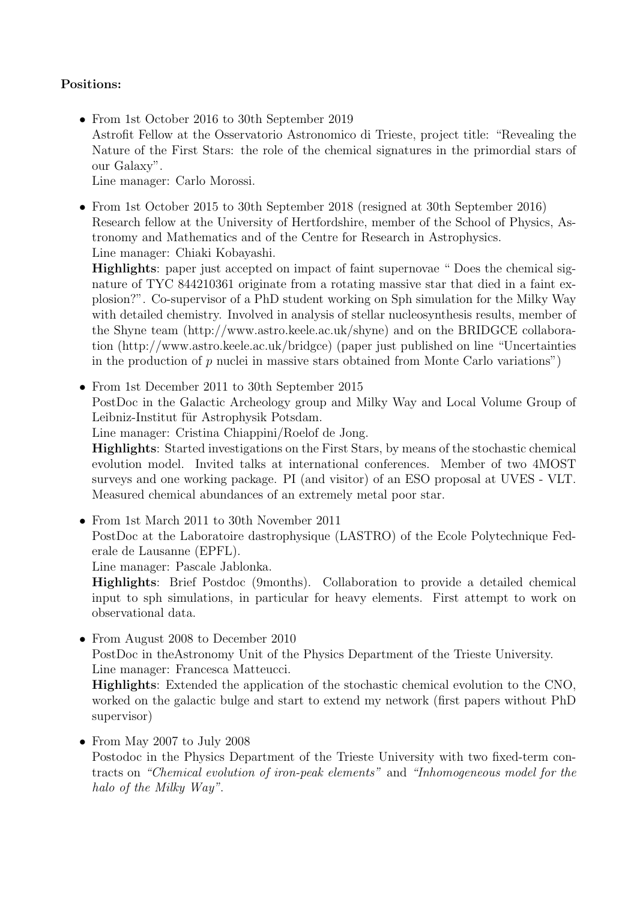### Positions:

• From 1st October 2016 to 30th September 2019 Astrofit Fellow at the Osservatorio Astronomico di Trieste, project title: "Revealing the Nature of the First Stars: the role of the chemical signatures in the primordial stars of our Galaxy". Line manager: Carlo Morossi.

• From 1st October 2015 to 30th September 2018 (resigned at 30th September 2016) Research fellow at the University of Hertfordshire, member of the School of Physics, Astronomy and Mathematics and of the Centre for Research in Astrophysics. Line manager: Chiaki Kobayashi.

Highlights: paper just accepted on impact of faint supernovae " Does the chemical signature of TYC 844210361 originate from a rotating massive star that died in a faint explosion?". Co-supervisor of a PhD student working on Sph simulation for the Milky Way with detailed chemistry. Involved in analysis of stellar nucleosynthesis results, member of the Shyne team (http://www.astro.keele.ac.uk/shyne) and on the BRIDGCE collaboration (http://www.astro.keele.ac.uk/bridgce) (paper just published on line "Uncertainties in the production of  $p$  nuclei in massive stars obtained from Monte Carlo variations")

• From 1st December 2011 to 30th September 2015 PostDoc in the Galactic Archeology group and Milky Way and Local Volume Group of Leibniz-Institut für Astrophysik Potsdam.

Line manager: Cristina Chiappini/Roelof de Jong.

Highlights: Started investigations on the First Stars, by means of the stochastic chemical evolution model. Invited talks at international conferences. Member of two 4MOST surveys and one working package. PI (and visitor) of an ESO proposal at UVES - VLT. Measured chemical abundances of an extremely metal poor star.

• From 1st March 2011 to 30th November 2011 PostDoc at the Laboratoire dastrophysique (LASTRO) of the Ecole Polytechnique Federale de Lausanne (EPFL).

Line manager: Pascale Jablonka.

Highlights: Brief Postdoc (9months). Collaboration to provide a detailed chemical input to sph simulations, in particular for heavy elements. First attempt to work on observational data.

• From August 2008 to December 2010

PostDoc in theAstronomy Unit of the Physics Department of the Trieste University. Line manager: Francesca Matteucci.

Highlights: Extended the application of the stochastic chemical evolution to the CNO, worked on the galactic bulge and start to extend my network (first papers without PhD supervisor)

#### • From May 2007 to July 2008

Postodoc in the Physics Department of the Trieste University with two fixed-term contracts on "Chemical evolution of iron-peak elements" and "Inhomogeneous model for the halo of the Milky Way".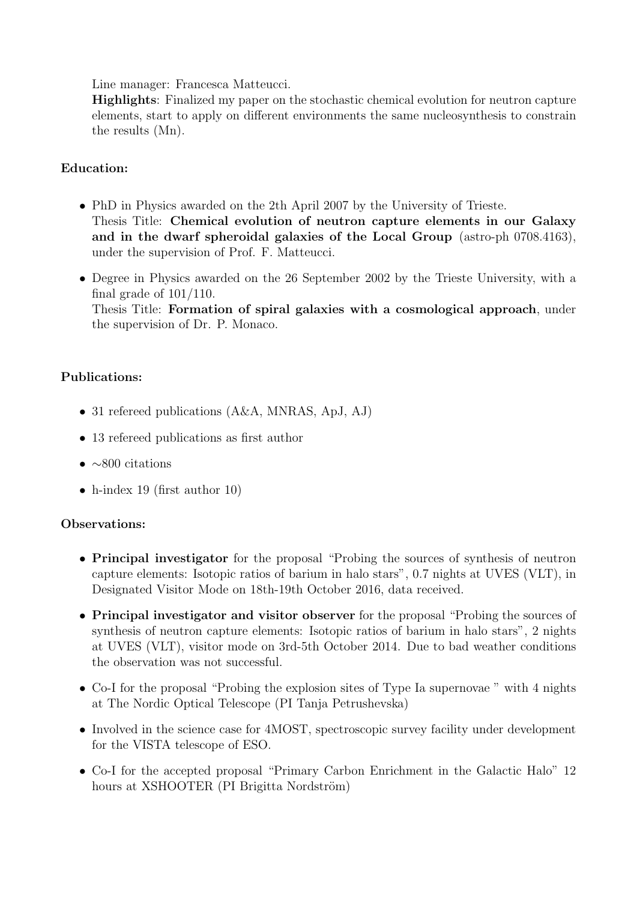Line manager: Francesca Matteucci.

Highlights: Finalized my paper on the stochastic chemical evolution for neutron capture elements, start to apply on different environments the same nucleosynthesis to constrain the results (Mn).

### Education:

- PhD in Physics awarded on the 2th April 2007 by the University of Trieste. Thesis Title: Chemical evolution of neutron capture elements in our Galaxy and in the dwarf spheroidal galaxies of the Local Group (astro-ph 0708.4163), under the supervision of Prof. F. Matteucci.
- Degree in Physics awarded on the 26 September 2002 by the Trieste University, with a final grade of 101/110. Thesis Title: Formation of spiral galaxies with a cosmological approach, under the supervision of Dr. P. Monaco.

## Publications:

- 31 refereed publications (A&A, MNRAS, ApJ, AJ)
- 13 refereed publications as first author
- $\bullet \sim 800$  citations
- h-index 19 (first author 10)

#### Observations:

- Principal investigator for the proposal "Probing the sources of synthesis of neutron capture elements: Isotopic ratios of barium in halo stars", 0.7 nights at UVES (VLT), in Designated Visitor Mode on 18th-19th October 2016, data received.
- Principal investigator and visitor observer for the proposal "Probing the sources of synthesis of neutron capture elements: Isotopic ratios of barium in halo stars", 2 nights at UVES (VLT), visitor mode on 3rd-5th October 2014. Due to bad weather conditions the observation was not successful.
- Co-I for the proposal "Probing the explosion sites of Type Ia supernovae " with 4 nights at The Nordic Optical Telescope (PI Tanja Petrushevska)
- Involved in the science case for 4MOST, spectroscopic survey facility under development for the VISTA telescope of ESO.
- Co-I for the accepted proposal "Primary Carbon Enrichment in the Galactic Halo" 12 hours at XSHOOTER (PI Brigitta Nordström)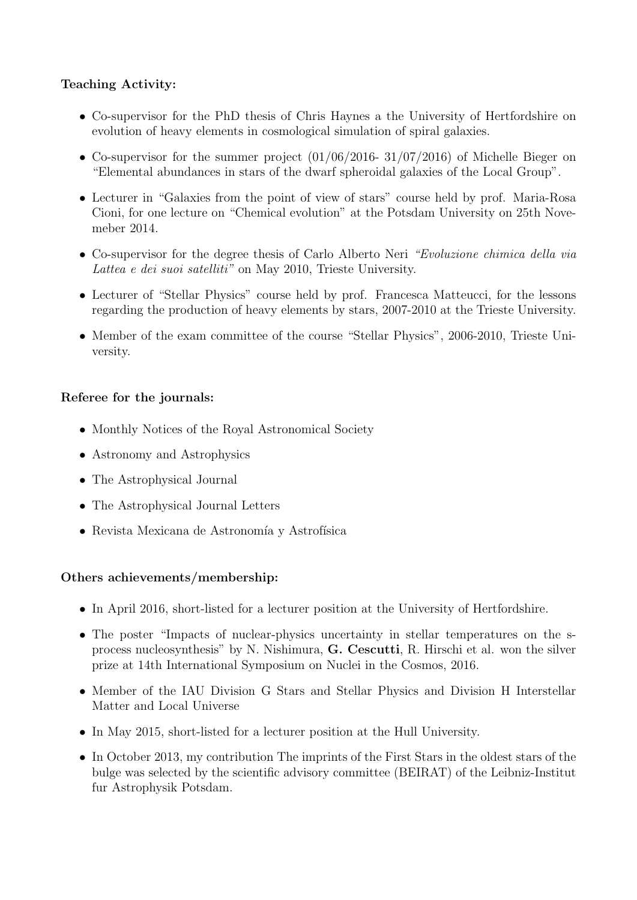## Teaching Activity:

- Co-supervisor for the PhD thesis of Chris Haynes a the University of Hertfordshire on evolution of heavy elements in cosmological simulation of spiral galaxies.
- Co-supervisor for the summer project (01/06/2016- 31/07/2016) of Michelle Bieger on "Elemental abundances in stars of the dwarf spheroidal galaxies of the Local Group".
- Lecturer in "Galaxies from the point of view of stars" course held by prof. Maria-Rosa Cioni, for one lecture on "Chemical evolution" at the Potsdam University on 25th Novemeber 2014.
- Co-supervisor for the degree thesis of Carlo Alberto Neri "Evoluzione chimica della via Lattea e dei suoi satelliti" on May 2010, Trieste University.
- Lecturer of "Stellar Physics" course held by prof. Francesca Matteucci, for the lessons regarding the production of heavy elements by stars, 2007-2010 at the Trieste University.
- Member of the exam committee of the course "Stellar Physics", 2006-2010, Trieste University.

## Referee for the journals:

- Monthly Notices of the Royal Astronomical Society
- Astronomy and Astrophysics
- The Astrophysical Journal
- The Astrophysical Journal Letters
- $\bullet\,$  Revista Mexicana de Astronomía y Astrofísica

#### Others achievements/membership:

- In April 2016, short-listed for a lecturer position at the University of Hertfordshire.
- The poster "Impacts of nuclear-physics uncertainty in stellar temperatures on the sprocess nucleosynthesis" by N. Nishimura, G. Cescutti, R. Hirschi et al. won the silver prize at 14th International Symposium on Nuclei in the Cosmos, 2016.
- Member of the IAU Division G Stars and Stellar Physics and Division H Interstellar Matter and Local Universe
- In May 2015, short-listed for a lecturer position at the Hull University.
- In October 2013, my contribution The imprints of the First Stars in the oldest stars of the bulge was selected by the scientific advisory committee (BEIRAT) of the Leibniz-Institut fur Astrophysik Potsdam.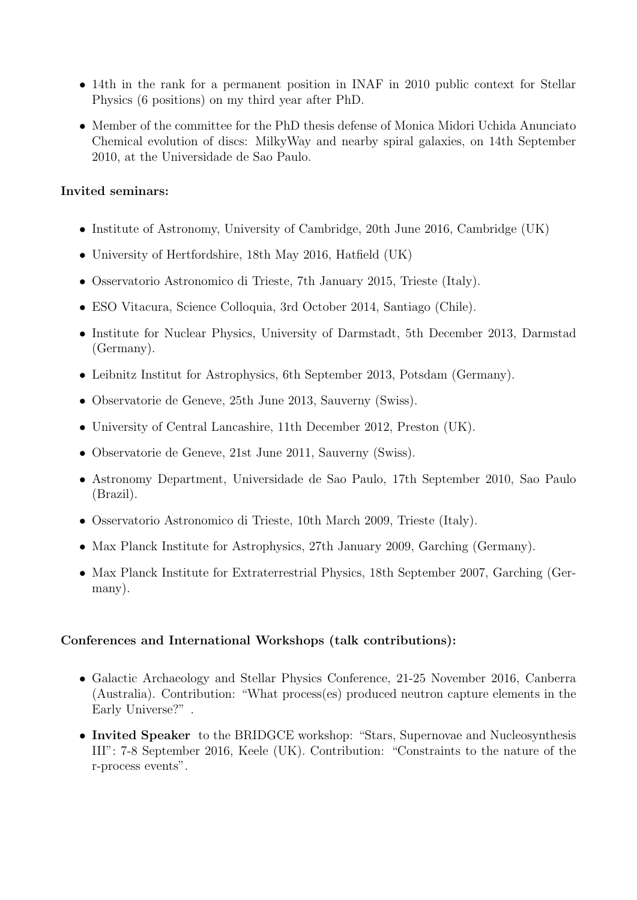- 14th in the rank for a permanent position in INAF in 2010 public context for Stellar Physics (6 positions) on my third year after PhD.
- Member of the committee for the PhD thesis defense of Monica Midori Uchida Anunciato Chemical evolution of discs: MilkyWay and nearby spiral galaxies, on 14th September 2010, at the Universidade de Sao Paulo.

#### Invited seminars:

- Institute of Astronomy, University of Cambridge, 20th June 2016, Cambridge (UK)
- University of Hertfordshire, 18th May 2016, Hatfield (UK)
- Osservatorio Astronomico di Trieste, 7th January 2015, Trieste (Italy).
- ESO Vitacura, Science Colloquia, 3rd October 2014, Santiago (Chile).
- Institute for Nuclear Physics, University of Darmstadt, 5th December 2013, Darmstad (Germany).
- Leibnitz Institut for Astrophysics, 6th September 2013, Potsdam (Germany).
- Observatorie de Geneve, 25th June 2013, Sauverny (Swiss).
- University of Central Lancashire, 11th December 2012, Preston (UK).
- Observatorie de Geneve, 21st June 2011, Sauverny (Swiss).
- Astronomy Department, Universidade de Sao Paulo, 17th September 2010, Sao Paulo (Brazil).
- Osservatorio Astronomico di Trieste, 10th March 2009, Trieste (Italy).
- Max Planck Institute for Astrophysics, 27th January 2009, Garching (Germany).
- Max Planck Institute for Extraterrestrial Physics, 18th September 2007, Garching (Germany).

#### Conferences and International Workshops (talk contributions):

- Galactic Archaeology and Stellar Physics Conference, 21-25 November 2016, Canberra (Australia). Contribution: "What process(es) produced neutron capture elements in the Early Universe?" .
- Invited Speaker to the BRIDGCE workshop: "Stars, Supernovae and Nucleosynthesis III": 7-8 September 2016, Keele (UK). Contribution: "Constraints to the nature of the r-process events".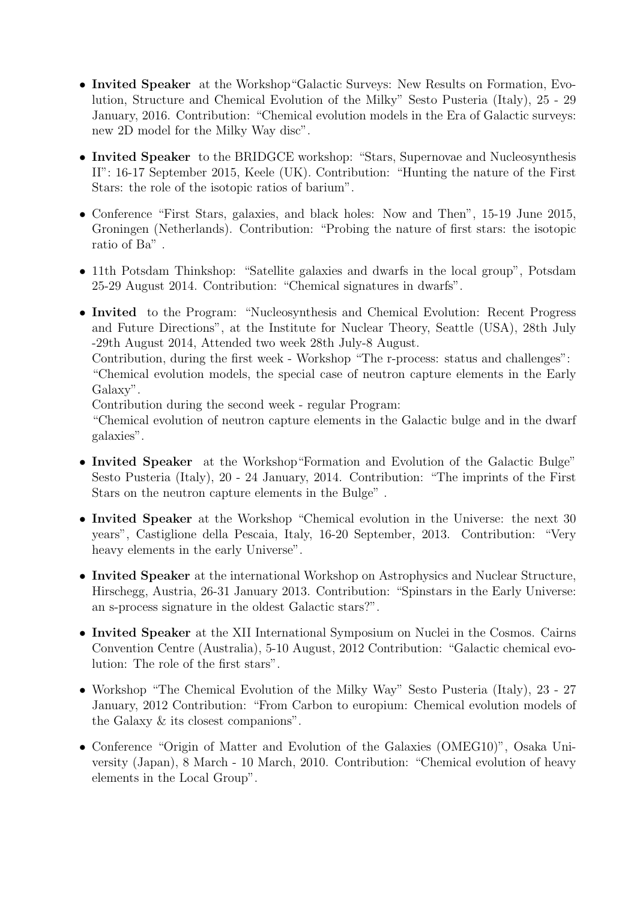- Invited Speaker at the Workshop"Galactic Surveys: New Results on Formation, Evolution, Structure and Chemical Evolution of the Milky" Sesto Pusteria (Italy), 25 - 29 January, 2016. Contribution: "Chemical evolution models in the Era of Galactic surveys: new 2D model for the Milky Way disc".
- Invited Speaker to the BRIDGCE workshop: "Stars, Supernovae and Nucleosynthesis II": 16-17 September 2015, Keele (UK). Contribution: "Hunting the nature of the First Stars: the role of the isotopic ratios of barium".
- Conference "First Stars, galaxies, and black holes: Now and Then", 15-19 June 2015, Groningen (Netherlands). Contribution: "Probing the nature of first stars: the isotopic ratio of Ba" .
- 11th Potsdam Thinkshop: "Satellite galaxies and dwarfs in the local group", Potsdam 25-29 August 2014. Contribution: "Chemical signatures in dwarfs".
- Invited to the Program: "Nucleosynthesis and Chemical Evolution: Recent Progress and Future Directions", at the Institute for Nuclear Theory, Seattle (USA), 28th July -29th August 2014, Attended two week 28th July-8 August.

Contribution, during the first week - Workshop "The r-process: status and challenges": "Chemical evolution models, the special case of neutron capture elements in the Early Galaxy".

Contribution during the second week - regular Program:

"Chemical evolution of neutron capture elements in the Galactic bulge and in the dwarf galaxies".

- Invited Speaker at the Workshop "Formation and Evolution of the Galactic Bulge" Sesto Pusteria (Italy), 20 - 24 January, 2014. Contribution: "The imprints of the First Stars on the neutron capture elements in the Bulge" .
- Invited Speaker at the Workshop "Chemical evolution in the Universe: the next 30 years", Castiglione della Pescaia, Italy, 16-20 September, 2013. Contribution: "Very heavy elements in the early Universe".
- Invited Speaker at the international Workshop on Astrophysics and Nuclear Structure, Hirschegg, Austria, 26-31 January 2013. Contribution: "Spinstars in the Early Universe: an s-process signature in the oldest Galactic stars?".
- Invited Speaker at the XII International Symposium on Nuclei in the Cosmos. Cairns Convention Centre (Australia), 5-10 August, 2012 Contribution: "Galactic chemical evolution: The role of the first stars".
- Workshop "The Chemical Evolution of the Milky Way" Sesto Pusteria (Italy), 23 27 January, 2012 Contribution: "From Carbon to europium: Chemical evolution models of the Galaxy & its closest companions".
- Conference "Origin of Matter and Evolution of the Galaxies (OMEG10)", Osaka University (Japan), 8 March - 10 March, 2010. Contribution: "Chemical evolution of heavy elements in the Local Group".